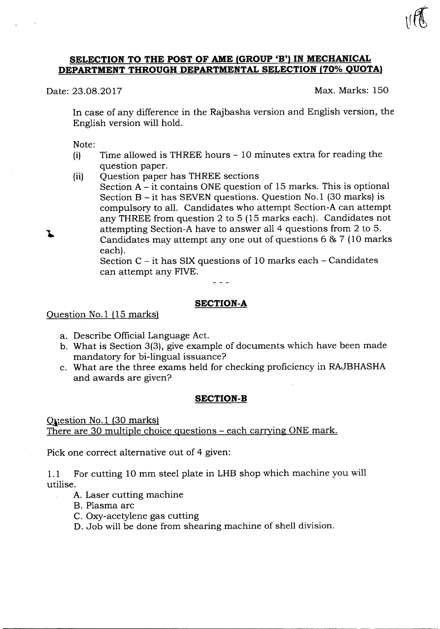#### **SELECTION TO THE POST OF AME (GROUP 'B') IN MECHANICAL DEPARTMENT THROUGH DEPARTMENTAL SELECTION (70% QUOTA)**

Date: 23.08.2017 Max. Marks: 150

In case of any difference in the Rajbasha version and English version, the English version will hold.

Note:

Ī.

- (i) Time allowed is THREE hours 10 minutes extra for reading the question paper.
- (ii) Question paper has THREE sections
	- Section  $A it$  contains ONE question of 15 marks. This is optional Section B - it has SEVEN questions. Question No.1 (30 marks) is compulsory to all. Candidates who attempt Section-A can attempt any THREE from question 2 to 5 (15 marks each). Candidates not attempting Section-A have to answer all 4 questions from 2 to 5. Candidates may attempt anyone out of questions 6 & 7 (10 marks each).

Section  $C - it$  has SIX questions of 10 marks each  $-$  Candidates can attempt any FIVE.

#### **SECTION-A**

Question No.1 (15 marks)

- a. Describe Official Language Act.
- b. What is Section 3(3), give example of documents which have been made mandatory for bi-lingual issuance?
- c. What are the three exams held for checking proficiency in RAJBHASHA and awards are given?

#### **SECTION-B**

Question No.1 (30 marks) There are 30 multiple choice questions – each carrying ONE mark.

Pick one correct alternative out of 4 given:

1.1 For cutting 10 mm steel plate in LHBshop which machine you will utilise.

- A. Laser cutting machine
- B. Plasma arc
- C. Oxy-acetylene gas cutting
- D. Job will be done from shearing machine of shell division.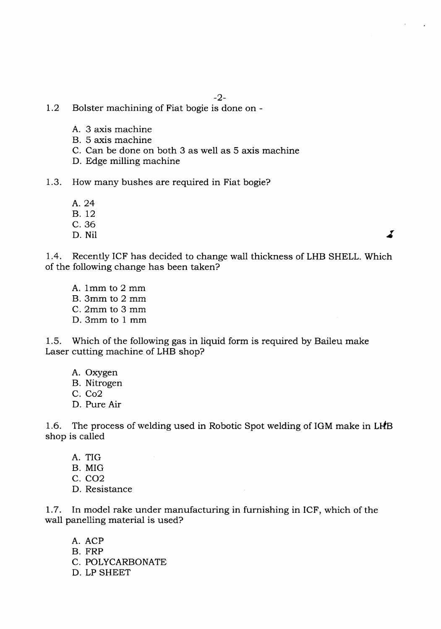- 1.2 Bolster machining of Fiat bogie is done on
	- A. 3 axis machine
	- B. 5 axis machine
	- C. Can be done on both 3 as well as 5 axis machine
	- D. Edge milling machine
- 1.3. How many bushes are required in Fiat bogie?
	- A.24 B.12
	- C.36
	- D. Nil

I

1.4. Recently ICF has decided to change wall thickness of LHB SHELL. Which of the following change has been taken?

A. 1mm to 2 mm B. 3mm to 2 mm C. 2mm to 3 mm D. 3mm to 1 mm

1.5. Which of the following gas in liquid form is required by Baileu make Laser cutting machine of LHB shop?

- A. Oxygen
- B. Nitrogen
- C. Co2
- D. Pure Air

1.6. The process of welding used in Robotic Spot welding of IGM make in LHB shop is called

- A. TIG
- B. MIG
- C. C02
- D. Resistance

1.7. In model rake under manufacturing in furnishing in ICF, which of the wall panelling material is used?

A. ACP B. FRP C. POLYCARBONATE D. LP SHEET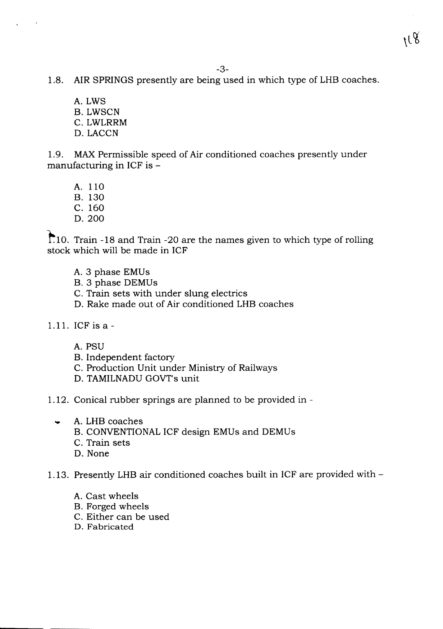- 1.8. AIR SPRINGS presently are being used in which type of LHB coaches.
	- A. LWS B. LWSCN C. LWLRRM D. LACCN

1.9. MAX Permissible speed of Air conditioned coaches presently under manufacturing in ICF is  $-$ 

- A. 110
- B. 130
- C. 160
- D.200

1~'10.Train -18 and Train -20 are the names given to which type of rolling stock which will be made in ICF

- A. 3 phase EMUs
- B. 3 phase DEMUs
- C. Train sets with under slung electrics
- D. Rake made out of Air conditioned LHB coaches
- 1.11. ICF is a
	- A.PSU
	- B. Independent factory
	- C. Production Unit under Ministry of Railways
	- D. TAMILNADU GOVT's unit
- 1.12. Conical rubber springs are planned to be provided in
	- A. LHB coaches
		- B. CONVENTIONAL ICF design EMUs and DEMUs
		- C. Train sets
		- D. None

# 1.13. Presently LHB air conditioned coaches built in ICF are provided with -

- A. Cast wheels
- B. Forged wheels
- C. Either can be used
- D. Fabricated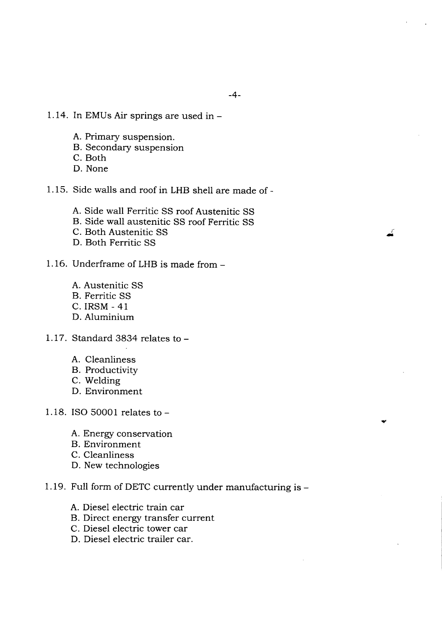*r* -

- 1.14. In EMUs Air springs are used in-
	- A. Primary suspension.
	- B. Secondary suspension
	- C. Both
	- D. None
- 1.15. Side walls and roof in LHB shell are made of-
	- A. Side wall Ferritic SS roof Austenitic SS
	- B. Side wall austenitic SS roof Ferritic SS
	- C. Both Austenitic SS
	- D. Both Ferritic SS
- 1.16. Underframe of LHB is made from -
	- A. Austenitic SS
	- B. Ferritic SS
	- C. IRSM 41
	- D. Aluminium
- 1.17. Standard 3834 relates to
	- A. Cleanliness
	- B. Productivity
	- C. Welding
	- D. Environment
- 1.18. ISO 50001 relates to
	- A. Energy conservation
	- B. Environment
	- C. Cleanliness
	- D. New technologies
- 1.19. Full form of DETC currently under manufacturing is-
	- A. Diesel electric train car
	- B. Direct energy transfer current
	- C. Diesel electric tower car
	- D. Diesel electric trailer car.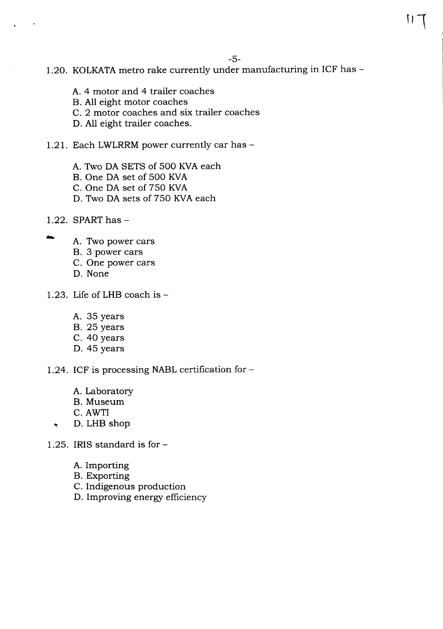### 1.20. KOLKATA metro rake currently under manufacturing in ICF has -

- A. 4 motor and 4 trailer coaches
- B. All eight motor coaches
- c. 2 motor coaches and six trailer coaches
- D. All eight trailer coaches.
- 1.21. Each LWLRRM power currently car has -
	- A. Two DA SETS of 500 KVA each
	- B. One DA set of 500 KVA
	- C. One DA set of 750 KVA
	- D. Two DA sets of 750 KVA each
- 1.22. SPART has  $-$
- A. Two power cars
	- B. 3 power cars
	- C. One power cars
	- D. None
- 1.23. Life of LHB coach is
	- A. 35 years
	- B. 25 years
	- C. 40 years
	- D. 45 years
- 1.24. ICF is processing NABL certification for  $-$ 
	- A. Laboratory
	- B. Museum
	- C. AWTI
	- ~ D. LHB shop
- 1.25. IRIS standard is for
	- A. Importing
	- B. Exporting
	- C. Indigenous production
	- D. Improving energy efficiency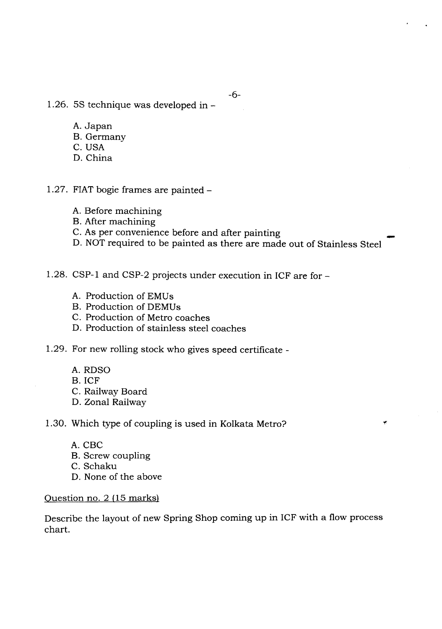- 1.26. 5S technique was developed in-
	- A.Japan
	- B. Germany
	- C. USA
	- D. China
- 1.27. FIAT bogie frames are painted -
	- A. Before machining
	- B. After machining
	- C. As per convenience before and after painting
	- D. NOT required to be painted as there are made out of Stainless Steel

1.28. CSP-1 and CSP-2 projects under execution in ICF are for -

- A. Production of EMUs
- B. Production of DEMUs
- C. Production of Metro coaches
- D. Production of stainless steel coaches
- 1.29. For new rolling stock who gives speed certificate
	- A.RDSO
	- B.ICF
	- C. Railway Board
	- D. Zonal Railway

1.30. Which type of coupling is used in Kolkata Metro?

- A.CBC
- B. Screw coupling
- C. Schaku
- D. None of the above

#### Question no. 2 (15 marks)

Describe the layout of new Spring Shop coming up in ICF with a flow process chart.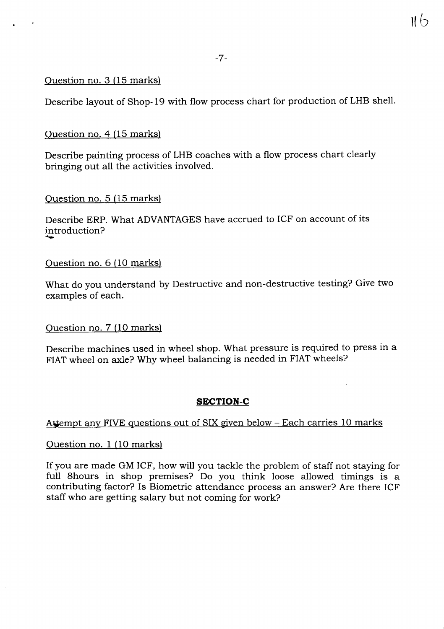$116$ 

### Question no. 3 (15 marks)

Describe layout of Shop-19 with flow process chart for production of LHB shell.

# Question no. 4 (15 marks)

Describe painting process of LHB coaches with a flow process chart clearly bringing out all the activities involved.

# Question no. 5 (15 marks)

Describe ERP. What ADVANTAGES have accrued to ICF on account of its introduction?

# Question no. 6 (10 marks)

What do you understand by Destructive and non -destructive testing? Give two examples of each.

# Question no. 7 (10 marks)

Describe machines used in wheel shop. What pressure is required to press in a FIAT wheel on axle? Why wheel balancing is needed in FIAT wheels?

# **SECTION-C**

# Attempt any FIVE questions out of SIX given below – Each carries 10 marks

# Question no. 1 (10 marks)

If you are made GM ICF, how will you tackle the problem of staff not staying for full 8hours in shop premises? Do you think loose allowed timings is a contributing factor? Is Biometric attendance process an answer? Are there ICF staff who are getting salary but not coming for work?